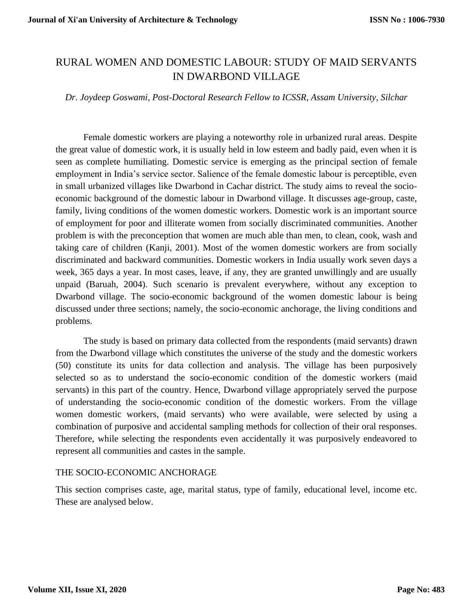# RURAL WOMEN AND DOMESTIC LABOUR: STUDY OF MAID SERVANTS IN DWARBOND VILLAGE

#### *Dr. Joydeep Goswami, Post-Doctoral Research Fellow to ICSSR, Assam University, Silchar*

Female domestic workers are playing a noteworthy role in urbanized rural areas. Despite the great value of domestic work, it is usually held in low esteem and badly paid, even when it is seen as complete humiliating. Domestic service is emerging as the principal section of female employment in India's service sector. Salience of the female domestic labour is perceptible, even in small urbanized villages like Dwarbond in Cachar district. The study aims to reveal the socioeconomic background of the domestic labour in Dwarbond village. It discusses age-group, caste, family, living conditions of the women domestic workers. Domestic work is an important source of employment for poor and illiterate women from socially discriminated communities. Another problem is with the preconception that women are much able than men, to clean, cook, wash and taking care of children (Kanji, 2001). Most of the women domestic workers are from socially discriminated and backward communities. Domestic workers in India usually work seven days a week, 365 days a year. In most cases, leave, if any, they are granted unwillingly and are usually unpaid (Baruah, 2004). Such scenario is prevalent everywhere, without any exception to Dwarbond village. The socio-economic background of the women domestic labour is being discussed under three sections; namely, the socio-economic anchorage, the living conditions and problems.

The study is based on primary data collected from the respondents (maid servants) drawn from the Dwarbond village which constitutes the universe of the study and the domestic workers (50) constitute its units for data collection and analysis. The village has been purposively selected so as to understand the socio-economic condition of the domestic workers (maid servants) in this part of the country. Hence, Dwarbond village appropriately served the purpose of understanding the socio-economic condition of the domestic workers. From the village women domestic workers, (maid servants) who were available, were selected by using a combination of purposive and accidental sampling methods for collection of their oral responses. Therefore, while selecting the respondents even accidentally it was purposively endeavored to represent all communities and castes in the sample.

#### THE SOCIO-ECONOMIC ANCHORAGE

This section comprises caste, age, marital status, type of family, educational level, income etc. These are analysed below.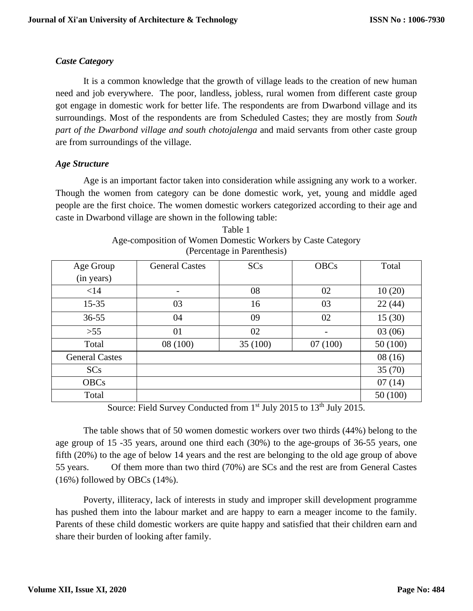## *Caste Category*

It is a common knowledge that the growth of village leads to the creation of new human need and job everywhere. The poor, landless, jobless, rural women from different caste group got engage in domestic work for better life. The respondents are from Dwarbond village and its surroundings. Most of the respondents are from Scheduled Castes; they are mostly from *South part of the Dwarbond village and south chotojalenga* and maid servants from other caste group are from surroundings of the village.

### *Age Structure*

Age is an important factor taken into consideration while assigning any work to a worker. Though the women from category can be done domestic work, yet, young and middle aged people are the first choice. The women domestic workers categorized according to their age and caste in Dwarbond village are shown in the following table:

| Age Group             | <b>General Castes</b>    | <b>SCs</b>                    | <b>OBCs</b>              | Total   |
|-----------------------|--------------------------|-------------------------------|--------------------------|---------|
| (in years)            |                          |                               |                          |         |
| $<$ 14                | $\overline{\phantom{a}}$ | 08                            | 02                       | 10(20)  |
| $15 - 35$             | 03                       | 16                            | 03                       | 22(44)  |
| $36 - 55$             | 04                       | 09                            | 02                       | 15(30)  |
| $>55$                 | 01                       | 02                            | $\overline{\phantom{a}}$ | 03(06)  |
| Total                 | 08 (100)                 | 35 (100)                      | 07(100)                  | 50(100) |
| <b>General Castes</b> |                          |                               |                          | 08(16)  |
| <b>SCs</b>            |                          |                               |                          | 35(70)  |
| <b>OBCs</b>           |                          |                               |                          | 07(14)  |
| Total                 |                          |                               |                          | 50(100) |
|                       |                          | $-1$ $-1$ $-1$ $-1$ $-1$ $-1$ | $-41$ $ -$               |         |

Table 1 Age-composition of Women Domestic Workers by Caste Category (Percentage in Parenthesis)

Source: Field Survey Conducted from 1<sup>st</sup> July 2015 to 13<sup>th</sup> July 2015.

The table shows that of 50 women domestic workers over two thirds (44%) belong to the age group of 15 -35 years, around one third each (30%) to the age-groups of 36-55 years, one fifth (20%) to the age of below 14 years and the rest are belonging to the old age group of above 55 years. Of them more than two third (70%) are SCs and the rest are from General Castes (16%) followed by OBCs (14%).

Poverty, illiteracy, lack of interests in study and improper skill development programme has pushed them into the labour market and are happy to earn a meager income to the family. Parents of these child domestic workers are quite happy and satisfied that their children earn and share their burden of looking after family.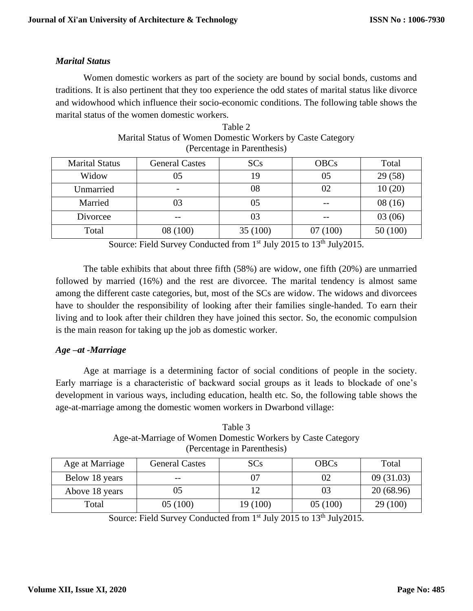### *Marital Status*

Women domestic workers as part of the society are bound by social bonds, customs and traditions. It is also pertinent that they too experience the odd states of marital status like divorce and widowhood which influence their socio-economic conditions. The following table shows the marital status of the women domestic workers.

|                       |                          | $(1 \text{Circentage in I are integers})$ |             |         |
|-----------------------|--------------------------|-------------------------------------------|-------------|---------|
| <b>Marital Status</b> | <b>General Castes</b>    | <b>SCs</b>                                | <b>OBCs</b> | Total   |
| Widow                 |                          | 19                                        | 05          | 29(58)  |
| Unmarried             | $\overline{\phantom{a}}$ | 08                                        |             | 10(20)  |
| Married               |                          | 05                                        |             | 08(16)  |
| Divorcee              |                          | 03                                        |             | 03(06)  |
| Total                 | 08 (100)                 | 35(100)                                   | 07(100)     | 50(100) |

| Table 2                                                    |
|------------------------------------------------------------|
| Marital Status of Women Domestic Workers by Caste Category |
| (Percentage in Parenthesis)                                |

Source: Field Survey Conducted from 1<sup>st</sup> July 2015 to 13<sup>th</sup> July 2015.

The table exhibits that about three fifth (58%) are widow, one fifth (20%) are unmarried followed by married (16%) and the rest are divorcee. The marital tendency is almost same among the different caste categories, but, most of the SCs are widow. The widows and divorcees have to shoulder the responsibility of looking after their families single-handed. To earn their living and to look after their children they have joined this sector. So, the economic compulsion is the main reason for taking up the job as domestic worker.

# *Age –at -Marriage*

Age at marriage is a determining factor of social conditions of people in the society. Early marriage is a characteristic of backward social groups as it leads to blockade of one's development in various ways, including education, health etc. So, the following table shows the age-at-marriage among the domestic women workers in Dwarbond village:

| Table 3                                                     |
|-------------------------------------------------------------|
| Age-at-Marriage of Women Domestic Workers by Caste Category |
| (Percentage in Parenthesis)                                 |

| Age at Marriage | <b>General Castes</b> | <b>SCs</b> | <b>OBCs</b> | Total     |
|-----------------|-----------------------|------------|-------------|-----------|
| Below 18 years  | $- -$                 |            |             | 09(31.03) |
| Above 18 years  |                       |            |             | 20(68.96) |
| Total           | 05 (100)              | 19 (100)   | 05(100)     | 29(100)   |

Source: Field Survey Conducted from 1<sup>st</sup> July 2015 to 13<sup>th</sup> July 2015.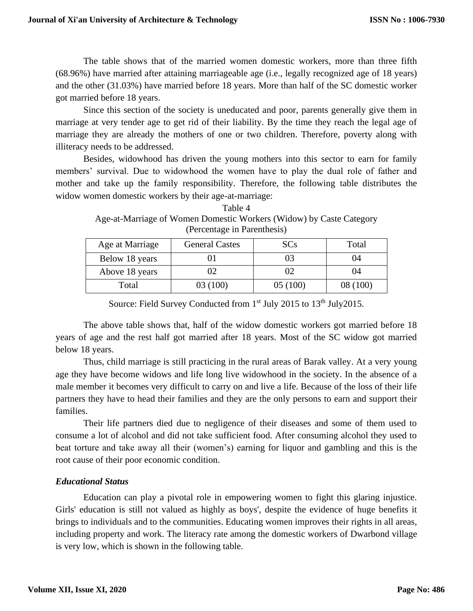The table shows that of the married women domestic workers, more than three fifth (68.96%) have married after attaining marriageable age (i.e., legally recognized age of 18 years) and the other (31.03%) have married before 18 years. More than half of the SC domestic worker got married before 18 years.

Since this section of the society is uneducated and poor, parents generally give them in marriage at very tender age to get rid of their liability. By the time they reach the legal age of marriage they are already the mothers of one or two children. Therefore, poverty along with illiteracy needs to be addressed.

Besides, widowhood has driven the young mothers into this sector to earn for family members' survival. Due to widowhood the women have to play the dual role of father and mother and take up the family responsibility. Therefore, the following table distributes the widow women domestic workers by their age-at-marriage:

| Table 4                                                             |
|---------------------------------------------------------------------|
| Age-at-Marriage of Women Domestic Workers (Widow) by Caste Category |
| (Percentage in Parenthesis)                                         |

| Age at Marriage | <b>General Castes</b> | <b>SCs</b> | Total    |
|-----------------|-----------------------|------------|----------|
| Below 18 years  |                       | 03         | 04       |
| Above 18 years  |                       |            | 04       |
| Total           | 03 (100)              | 05 (100)   | 08 (100) |

Source: Field Survey Conducted from 1<sup>st</sup> July 2015 to 13<sup>th</sup> July 2015.

The above table shows that, half of the widow domestic workers got married before 18 years of age and the rest half got married after 18 years. Most of the SC widow got married below 18 years.

Thus, child marriage is still practicing in the rural areas of Barak valley. At a very young age they have become widows and life long live widowhood in the society. In the absence of a male member it becomes very difficult to carry on and live a life. Because of the loss of their life partners they have to head their families and they are the only persons to earn and support their families.

Their life partners died due to negligence of their diseases and some of them used to consume a lot of alcohol and did not take sufficient food. After consuming alcohol they used to beat torture and take away all their (women's) earning for liquor and gambling and this is the root cause of their poor economic condition.

# *Educational Status*

Education can play a pivotal role in empowering women to fight this glaring injustice. Girls' education is still not valued as highly as boys', despite the evidence of huge benefits it brings to individuals and to the communities. Educating women improves their rights in all areas, including property and work. The literacy rate among the domestic workers of Dwarbond village is very low, which is shown in the following table.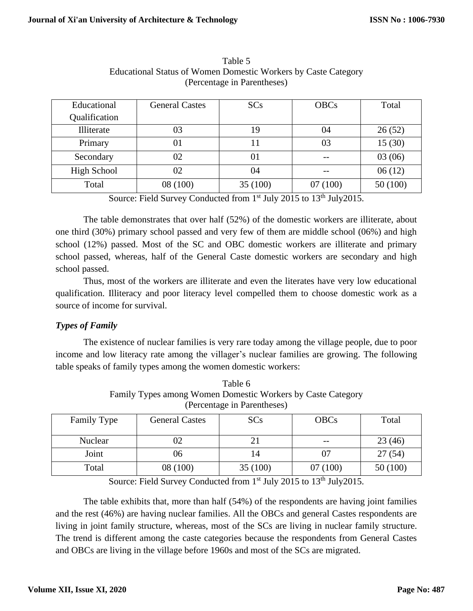| Educational        | <b>General Castes</b> | SCs     | <b>OBCs</b> | Total   |
|--------------------|-----------------------|---------|-------------|---------|
| Qualification      |                       |         |             |         |
| Illiterate         | 03                    | 19      | 04          | 26(52)  |
| Primary            |                       | 11      | 03          | 15(30)  |
| Secondary          | 02                    | 01      |             | 03(06)  |
| <b>High School</b> | 02                    | 04      |             | 06(12)  |
| Total              | 08 (100)              | 35(100) | 07(100)     | 50(100) |

Table 5 Educational Status of Women Domestic Workers by Caste Category (Percentage in Parentheses)

Source: Field Survey Conducted from 1<sup>st</sup> July 2015 to 13<sup>th</sup> July 2015.

The table demonstrates that over half (52%) of the domestic workers are illiterate, about one third (30%) primary school passed and very few of them are middle school (06%) and high school (12%) passed. Most of the SC and OBC domestic workers are illiterate and primary school passed, whereas, half of the General Caste domestic workers are secondary and high school passed.

Thus, most of the workers are illiterate and even the literates have very low educational qualification. Illiteracy and poor literacy level compelled them to choose domestic work as a source of income for survival.

### *Types of Family*

The existence of nuclear families is very rare today among the village people, due to poor income and low literacy rate among the villager's nuclear families are growing. The following table speaks of family types among the women domestic workers:

| Talliny Types allong Wolffen Dollestic Workers by Caste Category<br>(Percentage in Parentheses) |          |         |         |         |  |  |
|-------------------------------------------------------------------------------------------------|----------|---------|---------|---------|--|--|
| Total<br>Family Type<br><b>General Castes</b><br><b>OBCs</b><br><b>SCs</b>                      |          |         |         |         |  |  |
| <b>Nuclear</b>                                                                                  |          |         |         | 23(46)  |  |  |
| Joint                                                                                           | J6       |         |         | 27(54)  |  |  |
| Total                                                                                           | 08 (100) | 35(100) | 07(100) | 50(100) |  |  |

Table 6 Family Types among Women Domestic Workers by Caste Category

Source: Field Survey Conducted from 1<sup>st</sup> July 2015 to 13<sup>th</sup> July 2015.

The table exhibits that, more than half (54%) of the respondents are having joint families and the rest (46%) are having nuclear families. All the OBCs and general Castes respondents are living in joint family structure, whereas, most of the SCs are living in nuclear family structure. The trend is different among the caste categories because the respondents from General Castes and OBCs are living in the village before 1960s and most of the SCs are migrated.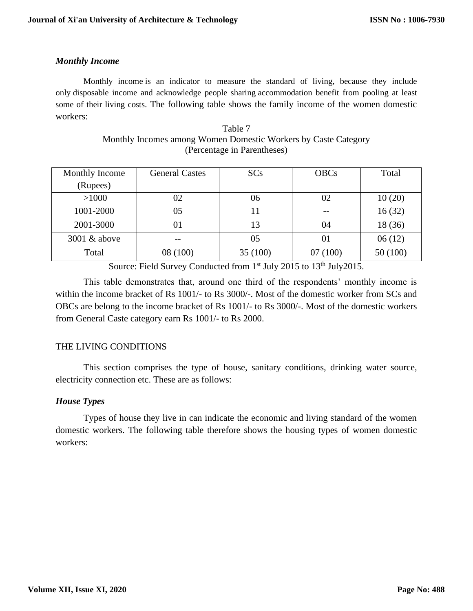### *Monthly Income*

Monthly income is an indicator to measure the standard of living, because they include only disposable income and acknowledge people sharing accommodation benefit from pooling at least some of their living costs. The following table shows the family income of the women domestic workers:

| Table 7                                                        |
|----------------------------------------------------------------|
| Monthly Incomes among Women Domestic Workers by Caste Category |
| (Percentage in Parentheses)                                    |

| Monthly Income | <b>General Castes</b> | <b>SCs</b> | <b>OBCs</b> | Total   |
|----------------|-----------------------|------------|-------------|---------|
| (Rupees)       |                       |            |             |         |
| >1000          | 02                    | 06         | 02          | 10(20)  |
| 1001-2000      | 05                    |            |             | 16(32)  |
| 2001-3000      |                       |            | 04          | 18 (36) |
| 3001 & above   |                       | 05         | 01          | 06(12)  |
| Total          | 08 (100)              | 35 (100)   | 07(100)     | 50(100) |

Source: Field Survey Conducted from 1<sup>st</sup> July 2015 to 13<sup>th</sup> July 2015.

This table demonstrates that, around one third of the respondents' monthly income is within the income bracket of Rs 1001/- to Rs 3000/-. Most of the domestic worker from SCs and OBCs are belong to the income bracket of Rs 1001/- to Rs 3000/-. Most of the domestic workers from General Caste category earn Rs 1001/- to Rs 2000.

### THE LIVING CONDITIONS

This section comprises the type of house, sanitary conditions, drinking water source, electricity connection etc. These are as follows:

### *House Types*

Types of house they live in can indicate the economic and living standard of the women domestic workers. The following table therefore shows the housing types of women domestic workers: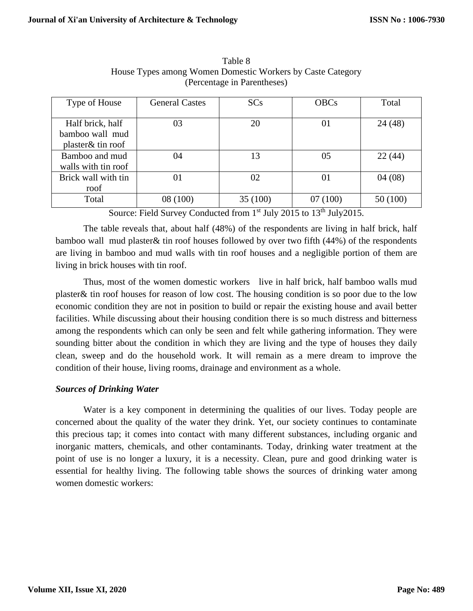| Type of House       | <b>General Castes</b> | SCs      | <b>OBCs</b> | Total    |
|---------------------|-----------------------|----------|-------------|----------|
|                     |                       |          |             |          |
| Half brick, half    | 03                    | 20       | 01          | 24 (48)  |
| bamboo wall mud     |                       |          |             |          |
| plaster& tin roof   |                       |          |             |          |
| Bamboo and mud      | 04                    | 13       | 05          | 22(44)   |
| walls with tin roof |                       |          |             |          |
| Brick wall with tin | 01                    | 02       | 01          | 04(08)   |
| roof                |                       |          |             |          |
| Total               | 08 (100)              | 35 (100) | 07(100)     | 50 (100) |

Table 8 House Types among Women Domestic Workers by Caste Category (Percentage in Parentheses)

Source: Field Survey Conducted from 1<sup>st</sup> July 2015 to 13<sup>th</sup> July 2015.

The table reveals that, about half (48%) of the respondents are living in half brick, half bamboo wall mud plaster& tin roof houses followed by over two fifth (44%) of the respondents are living in bamboo and mud walls with tin roof houses and a negligible portion of them are living in brick houses with tin roof.

Thus, most of the women domestic workers live in half brick, half bamboo walls mud plaster& tin roof houses for reason of low cost. The housing condition is so poor due to the low economic condition they are not in position to build or repair the existing house and avail better facilities. While discussing about their housing condition there is so much distress and bitterness among the respondents which can only be seen and felt while gathering information. They were sounding bitter about the condition in which they are living and the type of houses they daily clean, sweep and do the household work. It will remain as a mere dream to improve the condition of their house, living rooms, drainage and environment as a whole.

### *Sources of Drinking Water*

Water is a key component in determining the qualities of our lives. Today people are concerned about the quality of the water they drink. Yet, our society continues to contaminate this precious tap; it comes into contact with many different substances, including organic and inorganic matters, chemicals, and other contaminants. Today, drinking water treatment at the point of use is no longer a luxury, it is a necessity. Clean, pure and good drinking water is essential for healthy living. The following table shows the sources of drinking water among women domestic workers: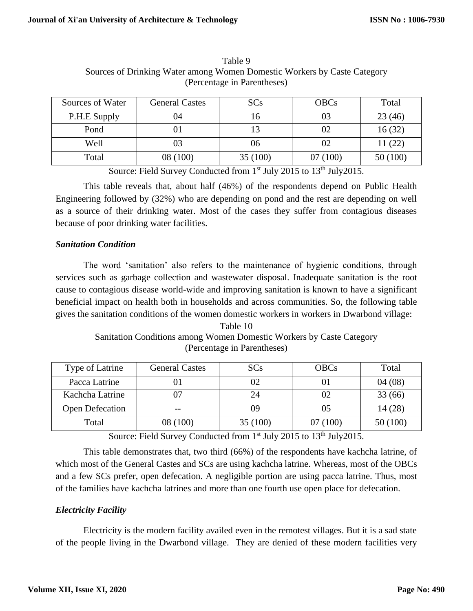| Sources of Water | <b>General Castes</b> | <b>SCs</b> | <b>OBCs</b> | Total    |
|------------------|-----------------------|------------|-------------|----------|
| P.H.E Supply     | )4                    |            |             | 23(46)   |
| Pond             |                       |            |             | 16(32)   |
| Well             |                       | 06         |             | 11(22)   |
| Total            | 08 (100)              | 35 (100)   | 07 (100)    | 50 (100) |

Table 9 Sources of Drinking Water among Women Domestic Workers by Caste Category (Percentage in Parentheses)

Source: Field Survey Conducted from 1<sup>st</sup> July 2015 to 13<sup>th</sup> July 2015.

This table reveals that, about half (46%) of the respondents depend on Public Health Engineering followed by (32%) who are depending on pond and the rest are depending on well as a source of their drinking water. Most of the cases they suffer from contagious diseases because of poor drinking water facilities.

### *Sanitation Condition*

The word 'sanitation' also refers to the maintenance of hygienic conditions, through services such as garbage collection and wastewater disposal. Inadequate sanitation is the root cause to contagious disease world-wide and improving sanitation is known to have a significant beneficial impact on health both in households and across communities. So, the following table gives the sanitation conditions of the women domestic workers in workers in Dwarbond village:

Table 10 Sanitation Conditions among Women Domestic Workers by Caste Category (Percentage in Parentheses)

| Type of Latrine | <b>General Castes</b> | <b>SCs</b> | <b>OBCs</b> | Total   |
|-----------------|-----------------------|------------|-------------|---------|
| Pacca Latrine   |                       | 02         |             | 04(08)  |
| Kachcha Latrine |                       | 24         |             | 33(66)  |
| Open Defecation | $- -$                 | 09         |             | 14(28)  |
| Total           | 08 (100)              | 35(100)    | 07(100)     | 50(100) |

Source: Field Survey Conducted from 1<sup>st</sup> July 2015 to 13<sup>th</sup> July 2015.

This table demonstrates that, two third (66%) of the respondents have kachcha latrine, of which most of the General Castes and SCs are using kachcha latrine. Whereas, most of the OBCs and a few SCs prefer, open defecation. A negligible portion are using pacca latrine. Thus, most of the families have kachcha latrines and more than one fourth use open place for defecation.

### *Electricity Facility*

Electricity is the modern facility availed even in the remotest villages. But it is a sad state of the people living in the Dwarbond village. They are denied of these modern facilities very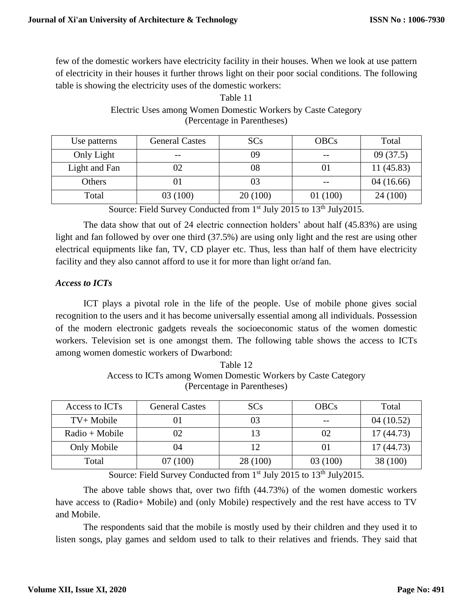few of the domestic workers have electricity facility in their houses. When we look at use pattern of electricity in their houses it further throws light on their poor social conditions. The following table is showing the electricity uses of the domestic workers:

| (Percentage in Parentificies) |                       |            |             |           |  |
|-------------------------------|-----------------------|------------|-------------|-----------|--|
| Use patterns                  | <b>General Castes</b> | <b>SCs</b> | <b>OBCs</b> | Total     |  |
| Only Light                    |                       | 09         |             | 09(37.5)  |  |
| Light and Fan                 | 02                    | 08         |             | 11(45.83) |  |
| Others                        | 01                    | 03         |             | 04(16.66) |  |
| Total                         | 03 (100)              | 20(100)    | 01(100)     | 24 (100)  |  |

# Electric Uses among Women Domestic Workers by Caste Category (Percentage in Parentheses)

Table 11

Source: Field Survey Conducted from 1<sup>st</sup> July 2015 to 13<sup>th</sup> July 2015.

The data show that out of 24 electric connection holders' about half (45.83%) are using light and fan followed by over one third (37.5%) are using only light and the rest are using other electrical equipments like fan, TV, CD player etc. Thus, less than half of them have electricity facility and they also cannot afford to use it for more than light or/and fan.

## *Access to ICTs*

ICT plays a pivotal role in the life of the people. Use of mobile phone gives social recognition to the users and it has become universally essential among all individuals. Possession of the modern electronic gadgets reveals the socioeconomic status of the women domestic workers. Television set is one amongst them. The following table shows the access to ICTs among women domestic workers of Dwarbond:

Table 12 Access to ICTs among Women Domestic Workers by Caste Category (Percentage in Parentheses)

| Access to ICTs   | <b>General Castes</b> | <b>SCs</b> | <b>OBCs</b> | Total     |
|------------------|-----------------------|------------|-------------|-----------|
| $TV+ Mobile$     |                       |            |             | 04(10.52) |
| $Radio + Mobile$ |                       |            |             | 17(44.73) |
| Only Mobile      | )4                    |            |             | 17(44.73) |
| Total            | 07(100)               | 28 (100)   | 03 (100)    | 38 (100)  |

Source: Field Survey Conducted from 1<sup>st</sup> July 2015 to 13<sup>th</sup> July 2015.

The above table shows that, over two fifth (44.73%) of the women domestic workers have access to (Radio+ Mobile) and (only Mobile) respectively and the rest have access to TV and Mobile.

The respondents said that the mobile is mostly used by their children and they used it to listen songs, play games and seldom used to talk to their relatives and friends. They said that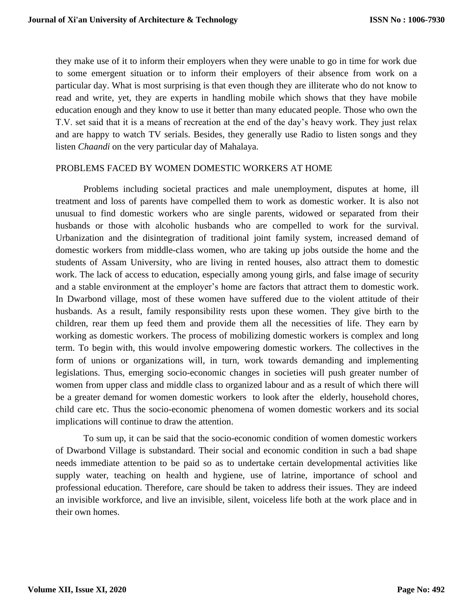they make use of it to inform their employers when they were unable to go in time for work due to some emergent situation or to inform their employers of their absence from work on a particular day. What is most surprising is that even though they are illiterate who do not know to read and write, yet, they are experts in handling mobile which shows that they have mobile education enough and they know to use it better than many educated people. Those who own the T.V. set said that it is a means of recreation at the end of the day's heavy work. They just relax and are happy to watch TV serials. Besides, they generally use Radio to listen songs and they listen *Chaandi* on the very particular day of Mahalaya.

#### PROBLEMS FACED BY WOMEN DOMESTIC WORKERS AT HOME

Problems including societal practices and male unemployment, disputes at home, ill treatment and loss of parents have compelled them to work as domestic worker. It is also not unusual to find domestic workers who are single parents, widowed or separated from their husbands or those with alcoholic husbands who are compelled to work for the survival. Urbanization and the disintegration of traditional joint family system, increased demand of domestic workers from middle-class women, who are taking up jobs outside the home and the students of Assam University, who are living in rented houses, also attract them to domestic work. The lack of access to education, especially among young girls, and false image of security and a stable environment at the employer's home are factors that attract them to domestic work. In Dwarbond village, most of these women have suffered due to the violent attitude of their husbands. As a result, family responsibility rests upon these women. They give birth to the children, rear them up feed them and provide them all the necessities of life. They earn by working as domestic workers. The process of mobilizing domestic workers is complex and long term. To begin with, this would involve empowering domestic workers. The collectives in the form of unions or organizations will, in turn, work towards demanding and implementing legislations. Thus, emerging socio-economic changes in societies will push greater number of women from upper class and middle class to organized labour and as a result of which there will be a greater demand for women domestic workers to look after the elderly, household chores, child care etc. Thus the socio-economic phenomena of women domestic workers and its social implications will continue to draw the attention.

To sum up, it can be said that the socio-economic condition of women domestic workers of Dwarbond Village is substandard. Their social and economic condition in such a bad shape needs immediate attention to be paid so as to undertake certain developmental activities like supply water, teaching on health and hygiene, use of latrine, importance of school and professional education. Therefore, care should be taken to address their issues. They are indeed an invisible workforce, and live an invisible, silent, voiceless life both at the work place and in their own homes.